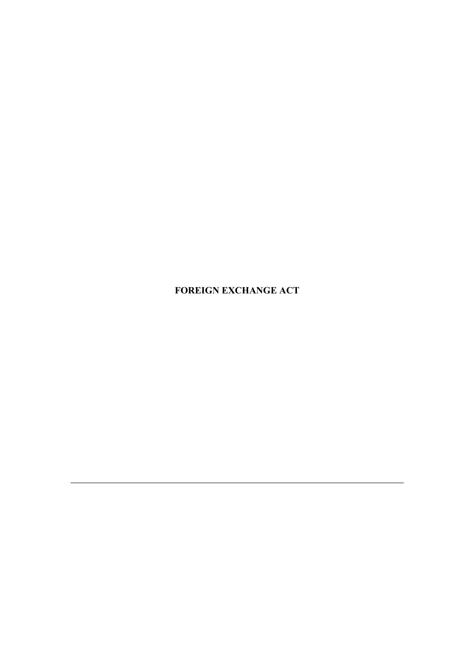**FOREIGN EXCHANGE ACT**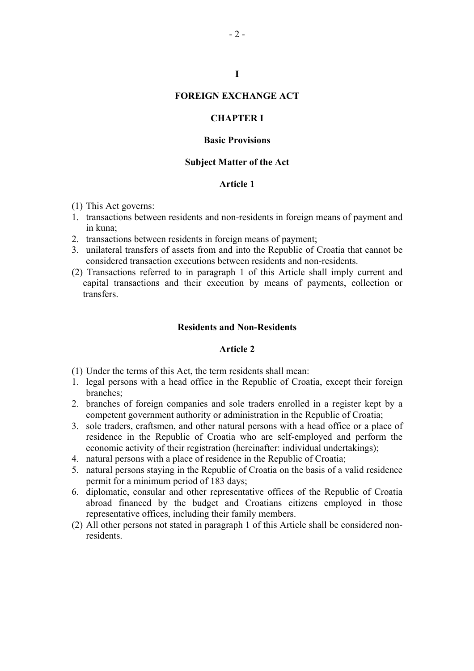# **FOREIGN EXCHANGE ACT**

**I** 

## **CHAPTER I**

## **Basic Provisions**

## **Subject Matter of the Act**

## **Article 1**

- (1) This Act governs:
- 1. transactions between residents and non-residents in foreign means of payment and in kuna;
- 2. transactions between residents in foreign means of payment;
- 3. unilateral transfers of assets from and into the Republic of Croatia that cannot be considered transaction executions between residents and non-residents.
- (2) Transactions referred to in paragraph 1 of this Article shall imply current and capital transactions and their execution by means of payments, collection or transfers.

## **Residents and Non-Residents**

- (1) Under the terms of this Act, the term residents shall mean:
- 1. legal persons with a head office in the Republic of Croatia, except their foreign branches;
- 2. branches of foreign companies and sole traders enrolled in a register kept by a competent government authority or administration in the Republic of Croatia;
- 3. sole traders, craftsmen, and other natural persons with a head office or a place of residence in the Republic of Croatia who are self-employed and perform the economic activity of their registration (hereinafter: individual undertakings);
- 4. natural persons with a place of residence in the Republic of Croatia;
- 5. natural persons staying in the Republic of Croatia on the basis of a valid residence permit for a minimum period of 183 days;
- 6. diplomatic, consular and other representative offices of the Republic of Croatia abroad financed by the budget and Croatians citizens employed in those representative offices, including their family members.
- (2) All other persons not stated in paragraph 1 of this Article shall be considered nonresidents.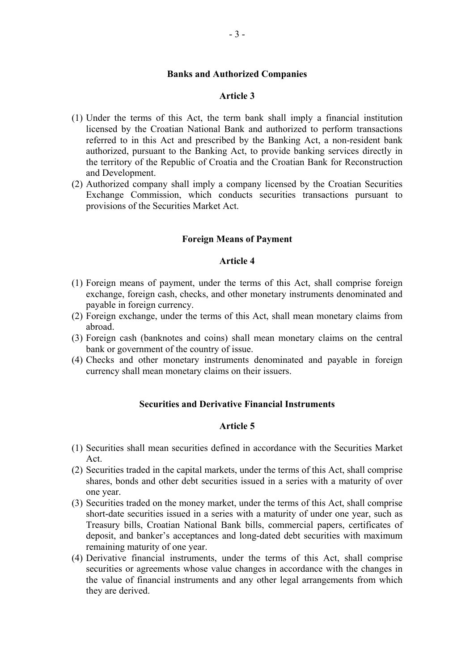#### **Banks and Authorized Companies**

#### **Article 3**

- (1) Under the terms of this Act, the term bank shall imply a financial institution licensed by the Croatian National Bank and authorized to perform transactions referred to in this Act and prescribed by the Banking Act, a non-resident bank authorized, pursuant to the Banking Act, to provide banking services directly in the territory of the Republic of Croatia and the Croatian Bank for Reconstruction and Development.
- (2) Authorized company shall imply a company licensed by the Croatian Securities Exchange Commission, which conducts securities transactions pursuant to provisions of the Securities Market Act.

#### **Foreign Means of Payment**

## **Article 4**

- (1) Foreign means of payment, under the terms of this Act, shall comprise foreign exchange, foreign cash, checks, and other monetary instruments denominated and payable in foreign currency.
- (2) Foreign exchange, under the terms of this Act, shall mean monetary claims from abroad.
- (3) Foreign cash (banknotes and coins) shall mean monetary claims on the central bank or government of the country of issue.
- (4) Checks and other monetary instruments denominated and payable in foreign currency shall mean monetary claims on their issuers.

## **Securities and Derivative Financial Instruments**

- (1) Securities shall mean securities defined in accordance with the Securities Market Act.
- (2) Securities traded in the capital markets, under the terms of this Act, shall comprise shares, bonds and other debt securities issued in a series with a maturity of over one year.
- (3) Securities traded on the money market, under the terms of this Act, shall comprise short-date securities issued in a series with a maturity of under one year, such as Treasury bills, Croatian National Bank bills, commercial papers, certificates of deposit, and banker's acceptances and long-dated debt securities with maximum remaining maturity of one year.
- (4) Derivative financial instruments, under the terms of this Act, shall comprise securities or agreements whose value changes in accordance with the changes in the value of financial instruments and any other legal arrangements from which they are derived.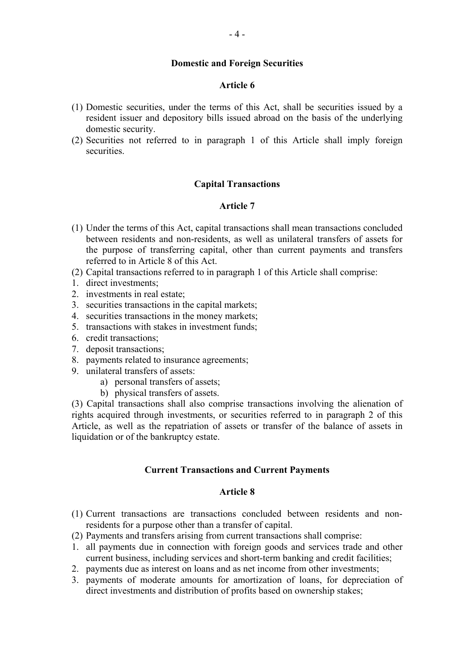## **Domestic and Foreign Securities**

## **Article 6**

- (1) Domestic securities, under the terms of this Act, shall be securities issued by a resident issuer and depository bills issued abroad on the basis of the underlying domestic security.
- (2) Securities not referred to in paragraph 1 of this Article shall imply foreign securities.

## **Capital Transactions**

## **Article 7**

- (1) Under the terms of this Act, capital transactions shall mean transactions concluded between residents and non-residents, as well as unilateral transfers of assets for the purpose of transferring capital, other than current payments and transfers referred to in Article 8 of this Act.
- (2) Capital transactions referred to in paragraph 1 of this Article shall comprise:
- 1. direct investments;
- 2. investments in real estate;
- 3. securities transactions in the capital markets;
- 4. securities transactions in the money markets;
- 5. transactions with stakes in investment funds;
- 6. credit transactions;
- 7. deposit transactions;
- 8. payments related to insurance agreements;
- 9. unilateral transfers of assets:
	- a) personal transfers of assets;
	- b) physical transfers of assets.

(3) Capital transactions shall also comprise transactions involving the alienation of rights acquired through investments, or securities referred to in paragraph 2 of this Article, as well as the repatriation of assets or transfer of the balance of assets in liquidation or of the bankruptcy estate.

## **Current Transactions and Current Payments**

- (1) Current transactions are transactions concluded between residents and nonresidents for a purpose other than a transfer of capital.
- (2) Payments and transfers arising from current transactions shall comprise:
- 1. all payments due in connection with foreign goods and services trade and other current business, including services and short-term banking and credit facilities;
- 2. payments due as interest on loans and as net income from other investments;
- 3. payments of moderate amounts for amortization of loans, for depreciation of direct investments and distribution of profits based on ownership stakes;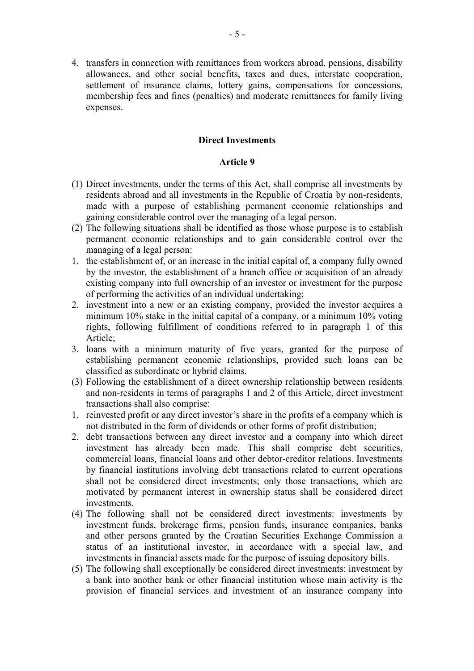4. transfers in connection with remittances from workers abroad, pensions, disability allowances, and other social benefits, taxes and dues, interstate cooperation, settlement of insurance claims, lottery gains, compensations for concessions, membership fees and fines (penalties) and moderate remittances for family living expenses.

## **Direct Investments**

- (1) Direct investments, under the terms of this Act, shall comprise all investments by residents abroad and all investments in the Republic of Croatia by non-residents, made with a purpose of establishing permanent economic relationships and gaining considerable control over the managing of a legal person.
- (2) The following situations shall be identified as those whose purpose is to establish permanent economic relationships and to gain considerable control over the managing of a legal person:
- 1. the establishment of, or an increase in the initial capital of, a company fully owned by the investor, the establishment of a branch office or acquisition of an already existing company into full ownership of an investor or investment for the purpose of performing the activities of an individual undertaking;
- 2. investment into a new or an existing company, provided the investor acquires a minimum 10% stake in the initial capital of a company, or a minimum 10% voting rights, following fulfillment of conditions referred to in paragraph 1 of this Article;
- 3. loans with a minimum maturity of five years, granted for the purpose of establishing permanent economic relationships, provided such loans can be classified as subordinate or hybrid claims.
- (3) Following the establishment of a direct ownership relationship between residents and non-residents in terms of paragraphs 1 and 2 of this Article, direct investment transactions shall also comprise:
- 1. reinvested profit or any direct investor's share in the profits of a company which is not distributed in the form of dividends or other forms of profit distribution;
- 2. debt transactions between any direct investor and a company into which direct investment has already been made. This shall comprise debt securities, commercial loans, financial loans and other debtor-creditor relations. Investments by financial institutions involving debt transactions related to current operations shall not be considered direct investments; only those transactions, which are motivated by permanent interest in ownership status shall be considered direct investments.
- (4) The following shall not be considered direct investments: investments by investment funds, brokerage firms, pension funds, insurance companies, banks and other persons granted by the Croatian Securities Exchange Commission a status of an institutional investor, in accordance with a special law, and investments in financial assets made for the purpose of issuing depository bills.
- (5) The following shall exceptionally be considered direct investments: investment by a bank into another bank or other financial institution whose main activity is the provision of financial services and investment of an insurance company into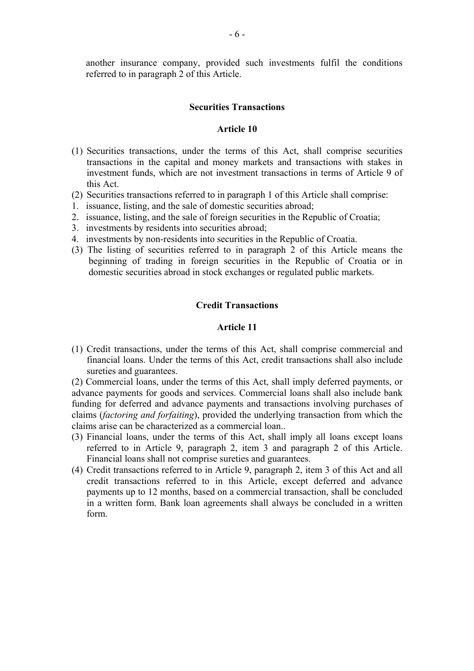another insurance company, provided such investments fulfil the conditions referred to in paragraph 2 of this Article.

#### **Securities Transactions**

## **Article 10**

- (1) Securities transactions, under the terms of this Act, shall comprise securities transactions in the capital and money markets and transactions with stakes in investment funds, which are not investment transactions in terms of Article 9 of this Act.
- (2) Securities transactions referred to in paragraph 1 of this Article shall comprise:
- 1. issuance, listing, and the sale of domestic securities abroad;
- 2. issuance, listing, and the sale of foreign securities in the Republic of Croatia;
- 3. investments by residents into securities abroad;
- 4. investments by non-residents into securities in the Republic of Croatia.
- (3) The listing of securities referred to in paragraph 2 of this Article means the beginning of trading in foreign securities in the Republic of Croatia or in domestic securities abroad in stock exchanges or regulated public markets.

## **Credit Transactions**

## **Article 11**

(1) Credit transactions, under the terms of this Act, shall comprise commercial and financial loans. Under the terms of this Act, credit transactions shall also include sureties and guarantees.

(2) Commercial loans, under the terms of this Act, shall imply deferred payments, or advance payments for goods and services. Commercial loans shall also include bank funding for deferred and advance payments and transactions involving purchases of claims (*factoring and forfaiting*), provided the underlying transaction from which the claims arise can be characterized as a commercial loan..

- (3) Financial loans, under the terms of this Act, shall imply all loans except loans referred to in Article 9, paragraph 2, item 3 and paragraph 2 of this Article. Financial loans shall not comprise sureties and guarantees.
- (4) Credit transactions referred to in Article 9, paragraph 2, item 3 of this Act and all credit transactions referred to in this Article, except deferred and advance payments up to 12 months, based on a commercial transaction, shall be concluded in a written form. Bank loan agreements shall always be concluded in a written form.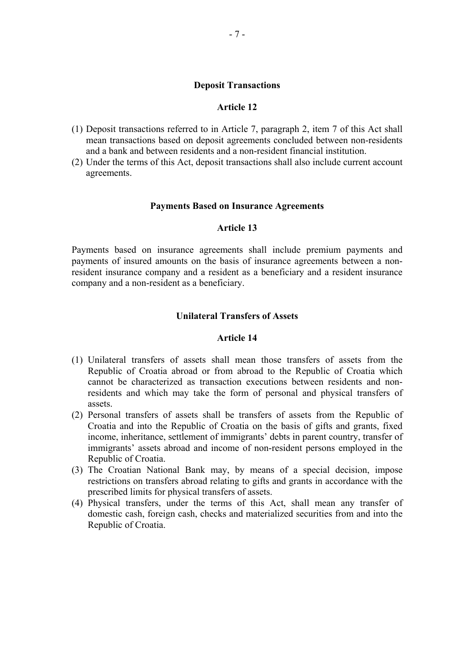#### **Deposit Transactions**

#### **Article 12**

- (1) Deposit transactions referred to in Article 7, paragraph 2, item 7 of this Act shall mean transactions based on deposit agreements concluded between non-residents and a bank and between residents and a non-resident financial institution.
- (2) Under the terms of this Act, deposit transactions shall also include current account agreements.

#### **Payments Based on Insurance Agreements**

#### **Article 13**

Payments based on insurance agreements shall include premium payments and payments of insured amounts on the basis of insurance agreements between a nonresident insurance company and a resident as a beneficiary and a resident insurance company and a non-resident as a beneficiary.

#### **Unilateral Transfers of Assets**

- (1) Unilateral transfers of assets shall mean those transfers of assets from the Republic of Croatia abroad or from abroad to the Republic of Croatia which cannot be characterized as transaction executions between residents and nonresidents and which may take the form of personal and physical transfers of assets.
- (2) Personal transfers of assets shall be transfers of assets from the Republic of Croatia and into the Republic of Croatia on the basis of gifts and grants, fixed income, inheritance, settlement of immigrants' debts in parent country, transfer of immigrants' assets abroad and income of non-resident persons employed in the Republic of Croatia.
- (3) The Croatian National Bank may, by means of a special decision, impose restrictions on transfers abroad relating to gifts and grants in accordance with the prescribed limits for physical transfers of assets.
- (4) Physical transfers, under the terms of this Act, shall mean any transfer of domestic cash, foreign cash, checks and materialized securities from and into the Republic of Croatia.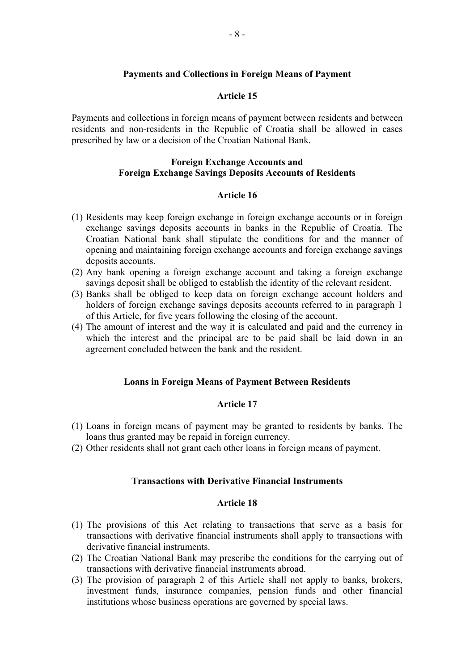## **Payments and Collections in Foreign Means of Payment**

#### **Article 15**

Payments and collections in foreign means of payment between residents and between residents and non-residents in the Republic of Croatia shall be allowed in cases prescribed by law or a decision of the Croatian National Bank.

## **Foreign Exchange Accounts and Foreign Exchange Savings Deposits Accounts of Residents**

#### **Article 16**

- (1) Residents may keep foreign exchange in foreign exchange accounts or in foreign exchange savings deposits accounts in banks in the Republic of Croatia. The Croatian National bank shall stipulate the conditions for and the manner of opening and maintaining foreign exchange accounts and foreign exchange savings deposits accounts.
- (2) Any bank opening a foreign exchange account and taking a foreign exchange savings deposit shall be obliged to establish the identity of the relevant resident.
- (3) Banks shall be obliged to keep data on foreign exchange account holders and holders of foreign exchange savings deposits accounts referred to in paragraph 1 of this Article, for five years following the closing of the account.
- (4) The amount of interest and the way it is calculated and paid and the currency in which the interest and the principal are to be paid shall be laid down in an agreement concluded between the bank and the resident.

#### **Loans in Foreign Means of Payment Between Residents**

#### **Article 17**

- (1) Loans in foreign means of payment may be granted to residents by banks. The loans thus granted may be repaid in foreign currency.
- (2) Other residents shall not grant each other loans in foreign means of payment.

#### **Transactions with Derivative Financial Instruments**

- (1) The provisions of this Act relating to transactions that serve as a basis for transactions with derivative financial instruments shall apply to transactions with derivative financial instruments.
- (2) The Croatian National Bank may prescribe the conditions for the carrying out of transactions with derivative financial instruments abroad.
- (3) The provision of paragraph 2 of this Article shall not apply to banks, brokers, investment funds, insurance companies, pension funds and other financial institutions whose business operations are governed by special laws.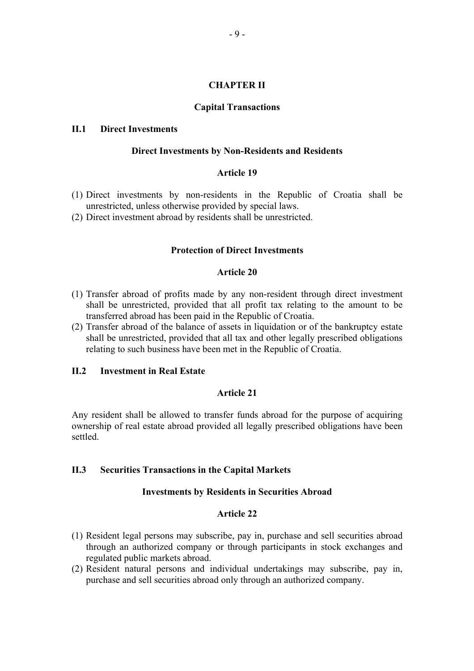## **CHAPTER II**

## **Capital Transactions**

## **II.1 Direct Investments**

#### **Direct Investments by Non-Residents and Residents**

## **Article 19**

- (1) Direct investments by non-residents in the Republic of Croatia shall be unrestricted, unless otherwise provided by special laws.
- (2) Direct investment abroad by residents shall be unrestricted.

## **Protection of Direct Investments**

### **Article 20**

- (1) Transfer abroad of profits made by any non-resident through direct investment shall be unrestricted, provided that all profit tax relating to the amount to be transferred abroad has been paid in the Republic of Croatia.
- (2) Transfer abroad of the balance of assets in liquidation or of the bankruptcy estate shall be unrestricted, provided that all tax and other legally prescribed obligations relating to such business have been met in the Republic of Croatia.

## **II.2 Investment in Real Estate**

## **Article 21**

Any resident shall be allowed to transfer funds abroad for the purpose of acquiring ownership of real estate abroad provided all legally prescribed obligations have been settled.

## **II.3 Securities Transactions in the Capital Markets**

#### **Investments by Residents in Securities Abroad**

- (1) Resident legal persons may subscribe, pay in, purchase and sell securities abroad through an authorized company or through participants in stock exchanges and regulated public markets abroad.
- (2) Resident natural persons and individual undertakings may subscribe, pay in, purchase and sell securities abroad only through an authorized company.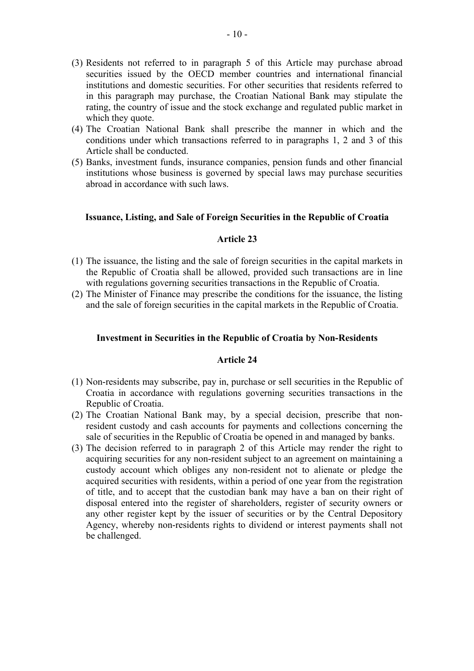- (3) Residents not referred to in paragraph 5 of this Article may purchase abroad securities issued by the OECD member countries and international financial institutions and domestic securities. For other securities that residents referred to in this paragraph may purchase, the Croatian National Bank may stipulate the rating, the country of issue and the stock exchange and regulated public market in which they quote.
- (4) The Croatian National Bank shall prescribe the manner in which and the conditions under which transactions referred to in paragraphs 1, 2 and 3 of this Article shall be conducted.
- (5) Banks, investment funds, insurance companies, pension funds and other financial institutions whose business is governed by special laws may purchase securities abroad in accordance with such laws.

## **Issuance, Listing, and Sale of Foreign Securities in the Republic of Croatia**

## **Article 23**

- (1) The issuance, the listing and the sale of foreign securities in the capital markets in the Republic of Croatia shall be allowed, provided such transactions are in line with regulations governing securities transactions in the Republic of Croatia.
- (2) The Minister of Finance may prescribe the conditions for the issuance, the listing and the sale of foreign securities in the capital markets in the Republic of Croatia.

### **Investment in Securities in the Republic of Croatia by Non-Residents**

- (1) Non-residents may subscribe, pay in, purchase or sell securities in the Republic of Croatia in accordance with regulations governing securities transactions in the Republic of Croatia.
- (2) The Croatian National Bank may, by a special decision, prescribe that nonresident custody and cash accounts for payments and collections concerning the sale of securities in the Republic of Croatia be opened in and managed by banks.
- (3) The decision referred to in paragraph 2 of this Article may render the right to acquiring securities for any non-resident subject to an agreement on maintaining a custody account which obliges any non-resident not to alienate or pledge the acquired securities with residents, within a period of one year from the registration of title, and to accept that the custodian bank may have a ban on their right of disposal entered into the register of shareholders, register of security owners or any other register kept by the issuer of securities or by the Central Depository Agency, whereby non-residents rights to dividend or interest payments shall not be challenged.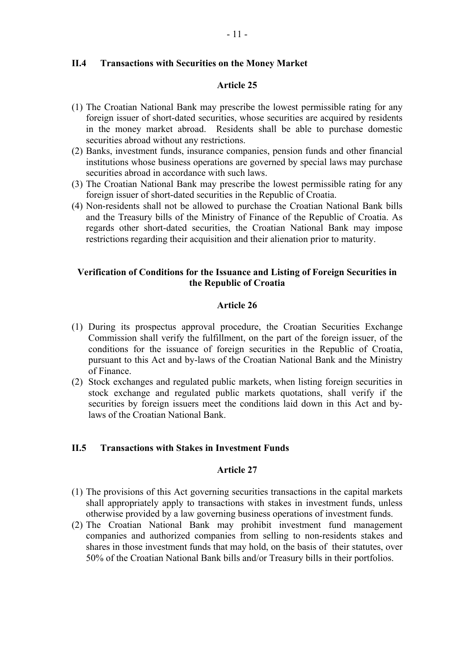## **II.4 Transactions with Securities on the Money Market**

## **Article 25**

- (1) The Croatian National Bank may prescribe the lowest permissible rating for any foreign issuer of short-dated securities, whose securities are acquired by residents in the money market abroad. Residents shall be able to purchase domestic securities abroad without any restrictions.
- (2) Banks, investment funds, insurance companies, pension funds and other financial institutions whose business operations are governed by special laws may purchase securities abroad in accordance with such laws.
- (3) The Croatian National Bank may prescribe the lowest permissible rating for any foreign issuer of short-dated securities in the Republic of Croatia.
- (4) Non-residents shall not be allowed to purchase the Croatian National Bank bills and the Treasury bills of the Ministry of Finance of the Republic of Croatia. As regards other short-dated securities, the Croatian National Bank may impose restrictions regarding their acquisition and their alienation prior to maturity.

## **Verification of Conditions for the Issuance and Listing of Foreign Securities in the Republic of Croatia**

## **Article 26**

- (1) During its prospectus approval procedure, the Croatian Securities Exchange Commission shall verify the fulfillment, on the part of the foreign issuer, of the conditions for the issuance of foreign securities in the Republic of Croatia, pursuant to this Act and by-laws of the Croatian National Bank and the Ministry of Finance.
- (2) Stock exchanges and regulated public markets, when listing foreign securities in stock exchange and regulated public markets quotations, shall verify if the securities by foreign issuers meet the conditions laid down in this Act and bylaws of the Croatian National Bank.

#### **II.5 Transactions with Stakes in Investment Funds**

- (1) The provisions of this Act governing securities transactions in the capital markets shall appropriately apply to transactions with stakes in investment funds, unless otherwise provided by a law governing business operations of investment funds.
- (2) The Croatian National Bank may prohibit investment fund management companies and authorized companies from selling to non-residents stakes and shares in those investment funds that may hold, on the basis of their statutes, over 50% of the Croatian National Bank bills and/or Treasury bills in their portfolios.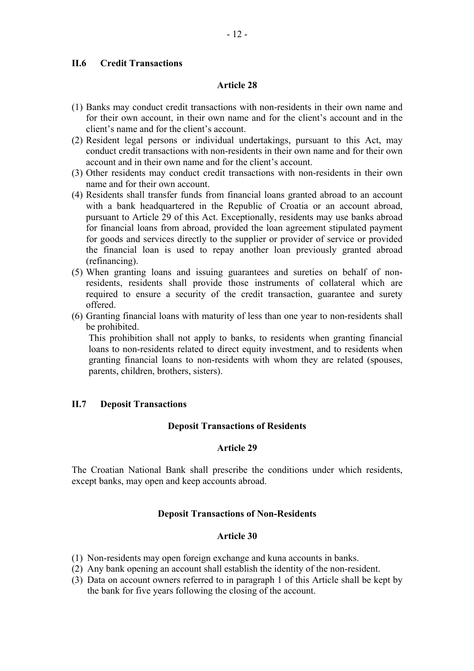## **II.6 Credit Transactions**

#### **Article 28**

- (1) Banks may conduct credit transactions with non-residents in their own name and for their own account, in their own name and for the client's account and in the client's name and for the client's account.
- (2) Resident legal persons or individual undertakings, pursuant to this Act, may conduct credit transactions with non-residents in their own name and for their own account and in their own name and for the client's account.
- (3) Other residents may conduct credit transactions with non-residents in their own name and for their own account.
- (4) Residents shall transfer funds from financial loans granted abroad to an account with a bank headquartered in the Republic of Croatia or an account abroad, pursuant to Article 29 of this Act. Exceptionally, residents may use banks abroad for financial loans from abroad, provided the loan agreement stipulated payment for goods and services directly to the supplier or provider of service or provided the financial loan is used to repay another loan previously granted abroad (refinancing).
- (5) When granting loans and issuing guarantees and sureties on behalf of nonresidents, residents shall provide those instruments of collateral which are required to ensure a security of the credit transaction, guarantee and surety offered.
- (6) Granting financial loans with maturity of less than one year to non-residents shall be prohibited.

This prohibition shall not apply to banks, to residents when granting financial loans to non-residents related to direct equity investment, and to residents when granting financial loans to non-residents with whom they are related (spouses, parents, children, brothers, sisters).

## **II.7 Deposit Transactions**

#### **Deposit Transactions of Residents**

#### **Article 29**

The Croatian National Bank shall prescribe the conditions under which residents, except banks, may open and keep accounts abroad.

## **Deposit Transactions of Non-Residents**

- (1) Non-residents may open foreign exchange and kuna accounts in banks.
- (2) Any bank opening an account shall establish the identity of the non-resident.
- (3) Data on account owners referred to in paragraph 1 of this Article shall be kept by the bank for five years following the closing of the account.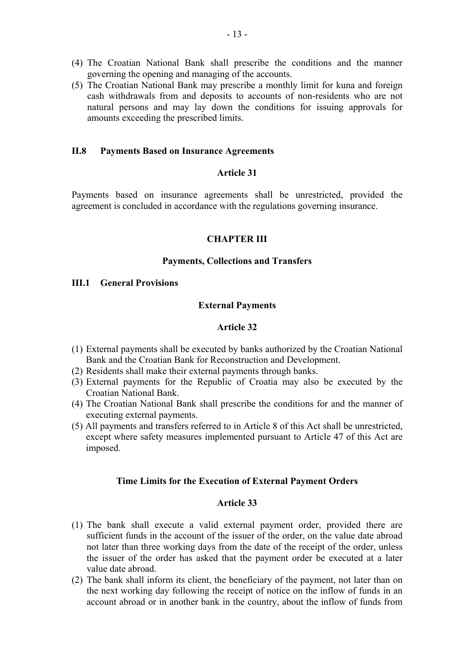- (4) The Croatian National Bank shall prescribe the conditions and the manner governing the opening and managing of the accounts.
- (5) The Croatian National Bank may prescribe a monthly limit for kuna and foreign cash withdrawals from and deposits to accounts of non-residents who are not natural persons and may lay down the conditions for issuing approvals for amounts exceeding the prescribed limits.

## **II.8 Payments Based on Insurance Agreements**

## **Article 31**

Payments based on insurance agreements shall be unrestricted, provided the agreement is concluded in accordance with the regulations governing insurance.

## **CHAPTER III**

#### **Payments, Collections and Transfers**

## **III.1 General Provisions**

#### **External Payments**

### **Article 32**

- (1) External payments shall be executed by banks authorized by the Croatian National Bank and the Croatian Bank for Reconstruction and Development.
- (2) Residents shall make their external payments through banks.
- (3) External payments for the Republic of Croatia may also be executed by the Croatian National Bank.
- (4) The Croatian National Bank shall prescribe the conditions for and the manner of executing external payments.
- (5) All payments and transfers referred to in Article 8 of this Act shall be unrestricted, except where safety measures implemented pursuant to Article 47 of this Act are imposed.

### **Time Limits for the Execution of External Payment Orders**

- (1) The bank shall execute a valid external payment order, provided there are sufficient funds in the account of the issuer of the order, on the value date abroad not later than three working days from the date of the receipt of the order, unless the issuer of the order has asked that the payment order be executed at a later value date abroad.
- (2) The bank shall inform its client, the beneficiary of the payment, not later than on the next working day following the receipt of notice on the inflow of funds in an account abroad or in another bank in the country, about the inflow of funds from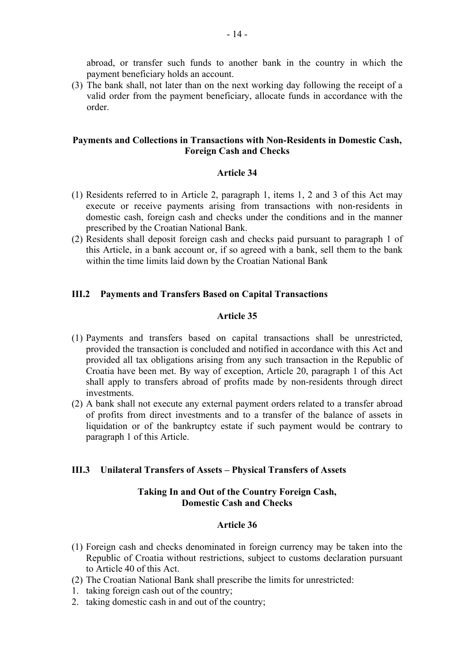abroad, or transfer such funds to another bank in the country in which the payment beneficiary holds an account.

(3) The bank shall, not later than on the next working day following the receipt of a valid order from the payment beneficiary, allocate funds in accordance with the order.

## **Payments and Collections in Transactions with Non-Residents in Domestic Cash, Foreign Cash and Checks**

## **Article 34**

- (1) Residents referred to in Article 2, paragraph 1, items 1, 2 and 3 of this Act may execute or receive payments arising from transactions with non-residents in domestic cash, foreign cash and checks under the conditions and in the manner prescribed by the Croatian National Bank.
- (2) Residents shall deposit foreign cash and checks paid pursuant to paragraph 1 of this Article, in a bank account or, if so agreed with a bank, sell them to the bank within the time limits laid down by the Croatian National Bank

## **III.2 Payments and Transfers Based on Capital Transactions**

## **Article 35**

- (1) Payments and transfers based on capital transactions shall be unrestricted, provided the transaction is concluded and notified in accordance with this Act and provided all tax obligations arising from any such transaction in the Republic of Croatia have been met. By way of exception, Article 20, paragraph 1 of this Act shall apply to transfers abroad of profits made by non-residents through direct investments.
- (2) A bank shall not execute any external payment orders related to a transfer abroad of profits from direct investments and to a transfer of the balance of assets in liquidation or of the bankruptcy estate if such payment would be contrary to paragraph 1 of this Article.

## **III.3 Unilateral Transfers of Assets – Physical Transfers of Assets**

## **Taking In and Out of the Country Foreign Cash, Domestic Cash and Checks**

- (1) Foreign cash and checks denominated in foreign currency may be taken into the Republic of Croatia without restrictions, subject to customs declaration pursuant to Article 40 of this Act.
- (2) The Croatian National Bank shall prescribe the limits for unrestricted:
- 1. taking foreign cash out of the country;
- 2. taking domestic cash in and out of the country;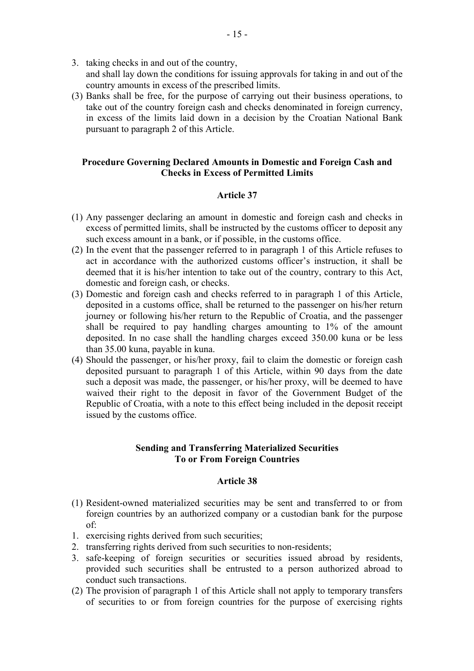- 3. taking checks in and out of the country, and shall lay down the conditions for issuing approvals for taking in and out of the country amounts in excess of the prescribed limits.
- (3) Banks shall be free, for the purpose of carrying out their business operations, to take out of the country foreign cash and checks denominated in foreign currency, in excess of the limits laid down in a decision by the Croatian National Bank pursuant to paragraph 2 of this Article.

## **Procedure Governing Declared Amounts in Domestic and Foreign Cash and Checks in Excess of Permitted Limits**

## **Article 37**

- (1) Any passenger declaring an amount in domestic and foreign cash and checks in excess of permitted limits, shall be instructed by the customs officer to deposit any such excess amount in a bank, or if possible, in the customs office.
- (2) In the event that the passenger referred to in paragraph 1 of this Article refuses to act in accordance with the authorized customs officer's instruction, it shall be deemed that it is his/her intention to take out of the country, contrary to this Act, domestic and foreign cash, or checks.
- (3) Domestic and foreign cash and checks referred to in paragraph 1 of this Article, deposited in a customs office, shall be returned to the passenger on his/her return journey or following his/her return to the Republic of Croatia, and the passenger shall be required to pay handling charges amounting to 1% of the amount deposited. In no case shall the handling charges exceed 350.00 kuna or be less than 35.00 kuna, payable in kuna.
- (4) Should the passenger, or his/her proxy, fail to claim the domestic or foreign cash deposited pursuant to paragraph 1 of this Article, within 90 days from the date such a deposit was made, the passenger, or his/her proxy, will be deemed to have waived their right to the deposit in favor of the Government Budget of the Republic of Croatia, with a note to this effect being included in the deposit receipt issued by the customs office.

## **Sending and Transferring Materialized Securities To or From Foreign Countries**

- (1) Resident-owned materialized securities may be sent and transferred to or from foreign countries by an authorized company or a custodian bank for the purpose of:
- 1. exercising rights derived from such securities;
- 2. transferring rights derived from such securities to non-residents;
- 3. safe-keeping of foreign securities or securities issued abroad by residents, provided such securities shall be entrusted to a person authorized abroad to conduct such transactions.
- (2) The provision of paragraph 1 of this Article shall not apply to temporary transfers of securities to or from foreign countries for the purpose of exercising rights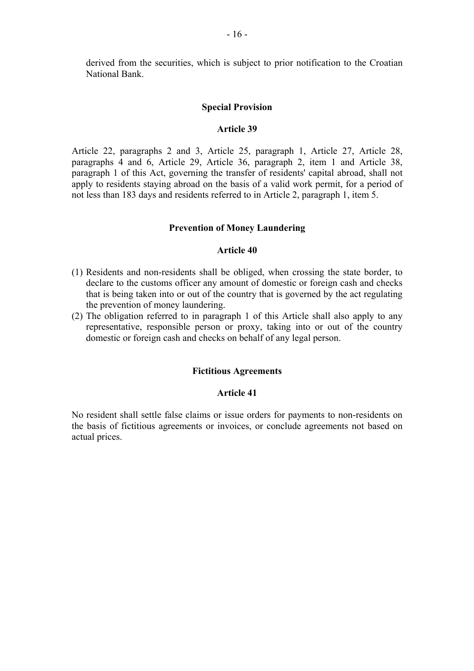derived from the securities, which is subject to prior notification to the Croatian National Bank.

#### **Special Provision**

#### **Article 39**

Article 22, paragraphs 2 and 3, Article 25, paragraph 1, Article 27, Article 28, paragraphs 4 and 6, Article 29, Article 36, paragraph 2, item 1 and Article 38, paragraph 1 of this Act, governing the transfer of residents' capital abroad, shall not apply to residents staying abroad on the basis of a valid work permit, for a period of not less than 183 days and residents referred to in Article 2, paragraph 1, item 5.

#### **Prevention of Money Laundering**

#### **Article 40**

- (1) Residents and non-residents shall be obliged, when crossing the state border, to declare to the customs officer any amount of domestic or foreign cash and checks that is being taken into or out of the country that is governed by the act regulating the prevention of money laundering.
- (2) The obligation referred to in paragraph 1 of this Article shall also apply to any representative, responsible person or proxy, taking into or out of the country domestic or foreign cash and checks on behalf of any legal person.

## **Fictitious Agreements**

#### **Article 41**

No resident shall settle false claims or issue orders for payments to non-residents on the basis of fictitious agreements or invoices, or conclude agreements not based on actual prices.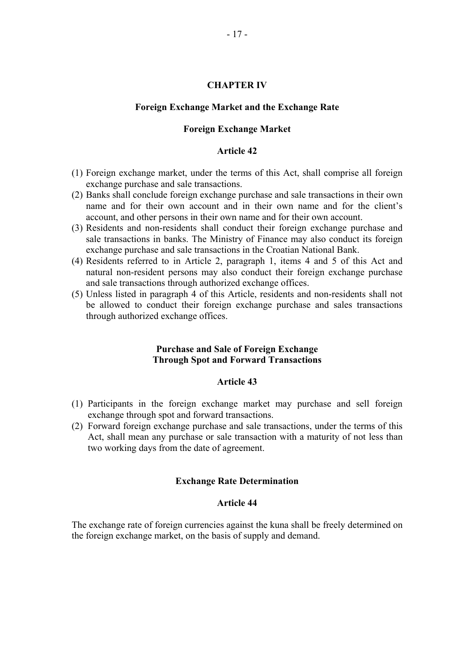#### **CHAPTER IV**

#### **Foreign Exchange Market and the Exchange Rate**

### **Foreign Exchange Market**

#### **Article 42**

- (1) Foreign exchange market, under the terms of this Act, shall comprise all foreign exchange purchase and sale transactions.
- (2) Banks shall conclude foreign exchange purchase and sale transactions in their own name and for their own account and in their own name and for the client's account, and other persons in their own name and for their own account.
- (3) Residents and non-residents shall conduct their foreign exchange purchase and sale transactions in banks. The Ministry of Finance may also conduct its foreign exchange purchase and sale transactions in the Croatian National Bank.
- (4) Residents referred to in Article 2, paragraph 1, items 4 and 5 of this Act and natural non-resident persons may also conduct their foreign exchange purchase and sale transactions through authorized exchange offices.
- (5) Unless listed in paragraph 4 of this Article, residents and non-residents shall not be allowed to conduct their foreign exchange purchase and sales transactions through authorized exchange offices.

## **Purchase and Sale of Foreign Exchange Through Spot and Forward Transactions**

#### **Article 43**

- (1) Participants in the foreign exchange market may purchase and sell foreign exchange through spot and forward transactions.
- (2) Forward foreign exchange purchase and sale transactions, under the terms of this Act, shall mean any purchase or sale transaction with a maturity of not less than two working days from the date of agreement.

#### **Exchange Rate Determination**

## **Article 44**

The exchange rate of foreign currencies against the kuna shall be freely determined on the foreign exchange market, on the basis of supply and demand.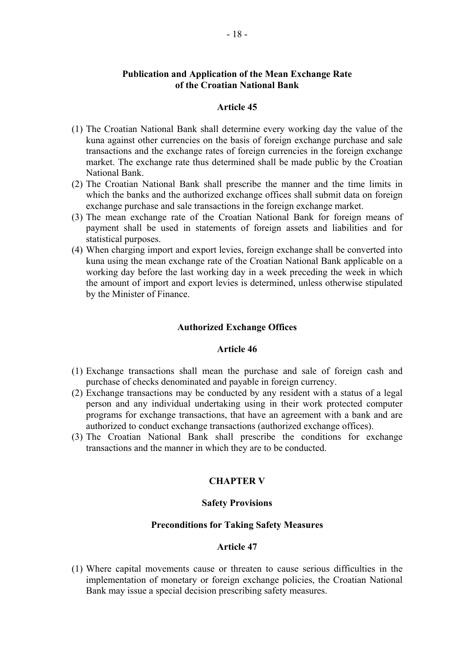## **Publication and Application of the Mean Exchange Rate of the Croatian National Bank**

#### **Article 45**

- (1) The Croatian National Bank shall determine every working day the value of the kuna against other currencies on the basis of foreign exchange purchase and sale transactions and the exchange rates of foreign currencies in the foreign exchange market. The exchange rate thus determined shall be made public by the Croatian National Bank.
- (2) The Croatian National Bank shall prescribe the manner and the time limits in which the banks and the authorized exchange offices shall submit data on foreign exchange purchase and sale transactions in the foreign exchange market.
- (3) The mean exchange rate of the Croatian National Bank for foreign means of payment shall be used in statements of foreign assets and liabilities and for statistical purposes.
- (4) When charging import and export levies, foreign exchange shall be converted into kuna using the mean exchange rate of the Croatian National Bank applicable on a working day before the last working day in a week preceding the week in which the amount of import and export levies is determined, unless otherwise stipulated by the Minister of Finance.

### **Authorized Exchange Offices**

#### **Article 46**

- (1) Exchange transactions shall mean the purchase and sale of foreign cash and purchase of checks denominated and payable in foreign currency.
- (2) Exchange transactions may be conducted by any resident with a status of a legal person and any individual undertaking using in their work protected computer programs for exchange transactions, that have an agreement with a bank and are authorized to conduct exchange transactions (authorized exchange offices).
- (3) The Croatian National Bank shall prescribe the conditions for exchange transactions and the manner in which they are to be conducted.

#### **CHAPTER V**

#### **Safety Provisions**

## **Preconditions for Taking Safety Measures**

## **Article 47**

(1) Where capital movements cause or threaten to cause serious difficulties in the implementation of monetary or foreign exchange policies, the Croatian National Bank may issue a special decision prescribing safety measures.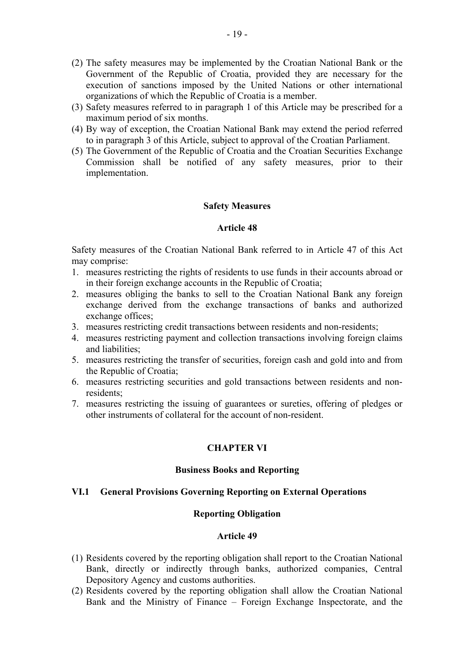- (2) The safety measures may be implemented by the Croatian National Bank or the Government of the Republic of Croatia, provided they are necessary for the execution of sanctions imposed by the United Nations or other international organizations of which the Republic of Croatia is a member.
- (3) Safety measures referred to in paragraph 1 of this Article may be prescribed for a maximum period of six months.
- (4) By way of exception, the Croatian National Bank may extend the period referred to in paragraph 3 of this Article, subject to approval of the Croatian Parliament.
- (5) The Government of the Republic of Croatia and the Croatian Securities Exchange Commission shall be notified of any safety measures, prior to their implementation.

## **Safety Measures**

## **Article 48**

Safety measures of the Croatian National Bank referred to in Article 47 of this Act may comprise:

- 1. measures restricting the rights of residents to use funds in their accounts abroad or in their foreign exchange accounts in the Republic of Croatia;
- 2. measures obliging the banks to sell to the Croatian National Bank any foreign exchange derived from the exchange transactions of banks and authorized exchange offices;
- 3. measures restricting credit transactions between residents and non-residents;
- 4. measures restricting payment and collection transactions involving foreign claims and liabilities;
- 5. measures restricting the transfer of securities, foreign cash and gold into and from the Republic of Croatia;
- 6. measures restricting securities and gold transactions between residents and nonresidents;
- 7. measures restricting the issuing of guarantees or sureties, offering of pledges or other instruments of collateral for the account of non-resident.

## **CHAPTER VI**

#### **Business Books and Reporting**

#### **VI.1 General Provisions Governing Reporting on External Operations**

#### **Reporting Obligation**

- (1) Residents covered by the reporting obligation shall report to the Croatian National Bank, directly or indirectly through banks, authorized companies, Central Depository Agency and customs authorities.
- (2) Residents covered by the reporting obligation shall allow the Croatian National Bank and the Ministry of Finance – Foreign Exchange Inspectorate, and the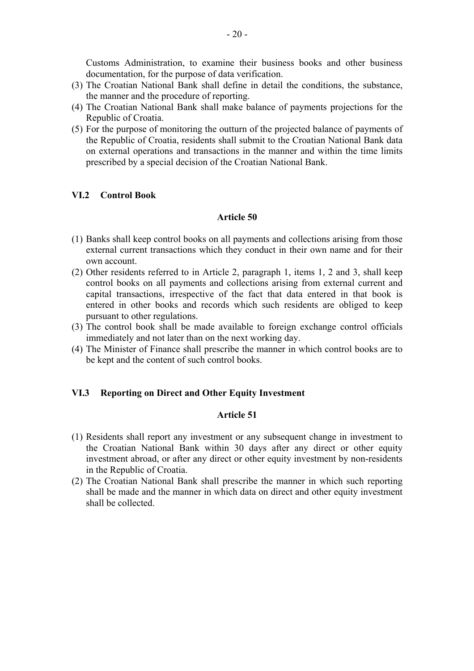Customs Administration, to examine their business books and other business documentation, for the purpose of data verification.

- (3) The Croatian National Bank shall define in detail the conditions, the substance, the manner and the procedure of reporting.
- (4) The Croatian National Bank shall make balance of payments projections for the Republic of Croatia.
- (5) For the purpose of monitoring the outturn of the projected balance of payments of the Republic of Croatia, residents shall submit to the Croatian National Bank data on external operations and transactions in the manner and within the time limits prescribed by a special decision of the Croatian National Bank.

## **VI.2 Control Book**

#### **Article 50**

- (1) Banks shall keep control books on all payments and collections arising from those external current transactions which they conduct in their own name and for their own account.
- (2) Other residents referred to in Article 2, paragraph 1, items 1, 2 and 3, shall keep control books on all payments and collections arising from external current and capital transactions, irrespective of the fact that data entered in that book is entered in other books and records which such residents are obliged to keep pursuant to other regulations.
- (3) The control book shall be made available to foreign exchange control officials immediately and not later than on the next working day.
- (4) The Minister of Finance shall prescribe the manner in which control books are to be kept and the content of such control books.

## **VI.3 Reporting on Direct and Other Equity Investment**

- (1) Residents shall report any investment or any subsequent change in investment to the Croatian National Bank within 30 days after any direct or other equity investment abroad, or after any direct or other equity investment by non-residents in the Republic of Croatia.
- (2) The Croatian National Bank shall prescribe the manner in which such reporting shall be made and the manner in which data on direct and other equity investment shall be collected.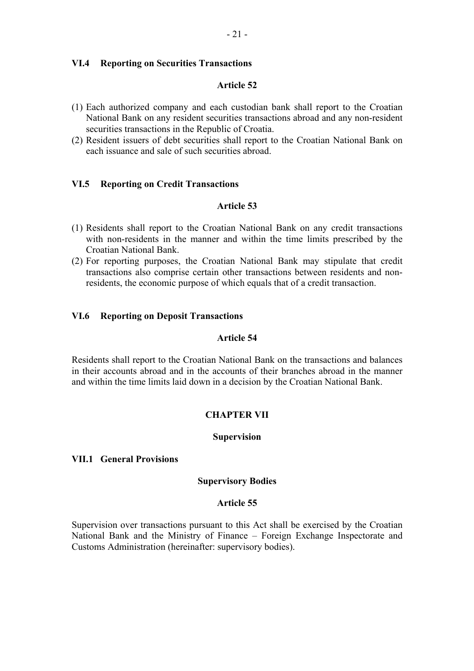## **VI.4 Reporting on Securities Transactions**

## **Article 52**

- (1) Each authorized company and each custodian bank shall report to the Croatian National Bank on any resident securities transactions abroad and any non-resident securities transactions in the Republic of Croatia.
- (2) Resident issuers of debt securities shall report to the Croatian National Bank on each issuance and sale of such securities abroad.

## **VI.5 Reporting on Credit Transactions**

## **Article 53**

- (1) Residents shall report to the Croatian National Bank on any credit transactions with non-residents in the manner and within the time limits prescribed by the Croatian National Bank.
- (2) For reporting purposes, the Croatian National Bank may stipulate that credit transactions also comprise certain other transactions between residents and nonresidents, the economic purpose of which equals that of a credit transaction.

## **VI.6 Reporting on Deposit Transactions**

## **Article 54**

Residents shall report to the Croatian National Bank on the transactions and balances in their accounts abroad and in the accounts of their branches abroad in the manner and within the time limits laid down in a decision by the Croatian National Bank.

## **CHAPTER VII**

## **Supervision**

## **VII.1 General Provisions**

#### **Supervisory Bodies**

## **Article 55**

Supervision over transactions pursuant to this Act shall be exercised by the Croatian National Bank and the Ministry of Finance – Foreign Exchange Inspectorate and Customs Administration (hereinafter: supervisory bodies).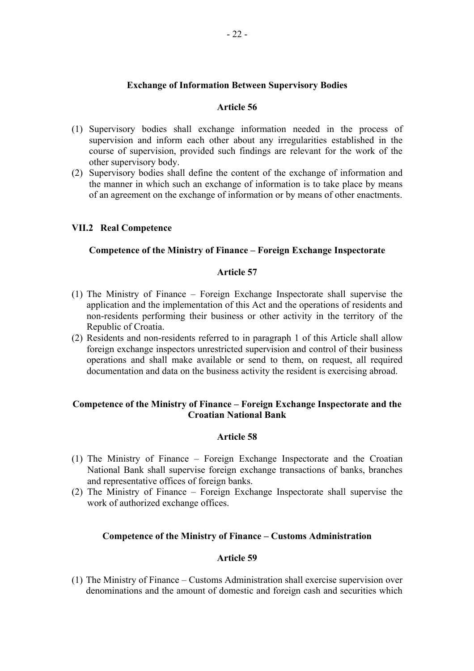## **Exchange of Information Between Supervisory Bodies**

### **Article 56**

- (1) Supervisory bodies shall exchange information needed in the process of supervision and inform each other about any irregularities established in the course of supervision, provided such findings are relevant for the work of the other supervisory body.
- (2) Supervisory bodies shall define the content of the exchange of information and the manner in which such an exchange of information is to take place by means of an agreement on the exchange of information or by means of other enactments.

## **VII.2 Real Competence**

## **Competence of the Ministry of Finance – Foreign Exchange Inspectorate**

#### **Article 57**

- (1) The Ministry of Finance Foreign Exchange Inspectorate shall supervise the application and the implementation of this Act and the operations of residents and non-residents performing their business or other activity in the territory of the Republic of Croatia.
- (2) Residents and non-residents referred to in paragraph 1 of this Article shall allow foreign exchange inspectors unrestricted supervision and control of their business operations and shall make available or send to them, on request, all required documentation and data on the business activity the resident is exercising abroad.

## **Competence of the Ministry of Finance – Foreign Exchange Inspectorate and the Croatian National Bank**

#### **Article 58**

- (1) The Ministry of Finance Foreign Exchange Inspectorate and the Croatian National Bank shall supervise foreign exchange transactions of banks, branches and representative offices of foreign banks.
- (2) The Ministry of Finance Foreign Exchange Inspectorate shall supervise the work of authorized exchange offices.

## **Competence of the Ministry of Finance – Customs Administration**

#### **Article 59**

(1) The Ministry of Finance – Customs Administration shall exercise supervision over denominations and the amount of domestic and foreign cash and securities which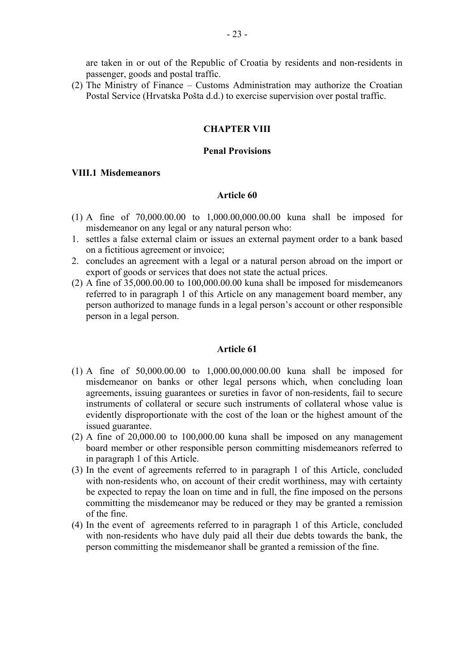are taken in or out of the Republic of Croatia by residents and non-residents in passenger, goods and postal traffic.

(2) The Ministry of Finance – Customs Administration may authorize the Croatian Postal Service (Hrvatska Pošta d.d.) to exercise supervision over postal traffic.

## **CHAPTER VIII**

#### **Penal Provisions**

## **VIII.1 Misdemeanors**

#### **Article 60**

- (1) A fine of 70,000.00.00 to 1,000.00,000.00.00 kuna shall be imposed for misdemeanor on any legal or any natural person who:
- 1. settles a false external claim or issues an external payment order to a bank based on a fictitious agreement or invoice;
- 2. concludes an agreement with a legal or a natural person abroad on the import or export of goods or services that does not state the actual prices.
- (2) A fine of 35,000.00.00 to 100,000.00.00 kuna shall be imposed for misdemeanors referred to in paragraph 1 of this Article on any management board member, any person authorized to manage funds in a legal person's account or other responsible person in a legal person.

- (1) A fine of 50,000.00.00 to 1,000.00,000.00.00 kuna shall be imposed for misdemeanor on banks or other legal persons which, when concluding loan agreements, issuing guarantees or sureties in favor of non-residents, fail to secure instruments of collateral or secure such instruments of collateral whose value is evidently disproportionate with the cost of the loan or the highest amount of the issued guarantee.
- $(2)$  A fine of  $20,000.00$  to  $100,000.00$  kuna shall be imposed on any management board member or other responsible person committing misdemeanors referred to in paragraph 1 of this Article.
- (3) In the event of agreements referred to in paragraph 1 of this Article, concluded with non-residents who, on account of their credit worthiness, may with certainty be expected to repay the loan on time and in full, the fine imposed on the persons committing the misdemeanor may be reduced or they may be granted a remission of the fine.
- (4) In the event of agreements referred to in paragraph 1 of this Article, concluded with non-residents who have duly paid all their due debts towards the bank, the person committing the misdemeanor shall be granted a remission of the fine.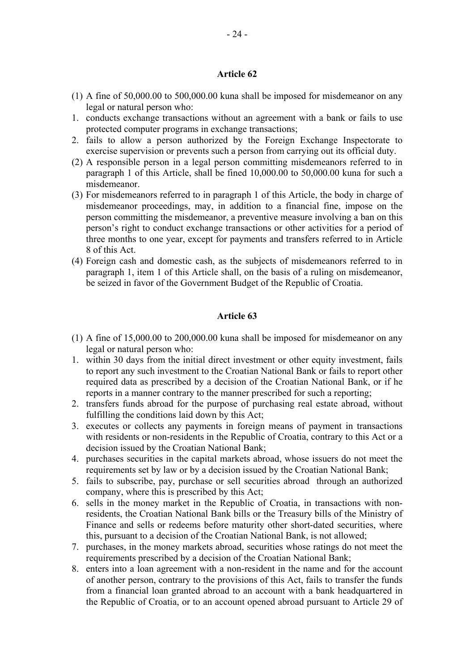## **Article 62**

- (1) A fine of 50,000.00 to 500,000.00 kuna shall be imposed for misdemeanor on any legal or natural person who:
- 1. conducts exchange transactions without an agreement with a bank or fails to use protected computer programs in exchange transactions;
- 2. fails to allow a person authorized by the Foreign Exchange Inspectorate to exercise supervision or prevents such a person from carrying out its official duty.
- (2) A responsible person in a legal person committing misdemeanors referred to in paragraph 1 of this Article, shall be fined 10,000.00 to 50,000.00 kuna for such a misdemeanor.
- (3) For misdemeanors referred to in paragraph 1 of this Article, the body in charge of misdemeanor proceedings, may, in addition to a financial fine, impose on the person committing the misdemeanor, a preventive measure involving a ban on this person's right to conduct exchange transactions or other activities for a period of three months to one year, except for payments and transfers referred to in Article 8 of this Act.
- (4) Foreign cash and domestic cash, as the subjects of misdemeanors referred to in paragraph 1, item 1 of this Article shall, on the basis of a ruling on misdemeanor, be seized in favor of the Government Budget of the Republic of Croatia.

- (1) A fine of 15,000.00 to 200,000.00 kuna shall be imposed for misdemeanor on any legal or natural person who:
- 1. within 30 days from the initial direct investment or other equity investment, fails to report any such investment to the Croatian National Bank or fails to report other required data as prescribed by a decision of the Croatian National Bank, or if he reports in a manner contrary to the manner prescribed for such a reporting;
- 2. transfers funds abroad for the purpose of purchasing real estate abroad, without fulfilling the conditions laid down by this Act;
- 3. executes or collects any payments in foreign means of payment in transactions with residents or non-residents in the Republic of Croatia, contrary to this Act or a decision issued by the Croatian National Bank;
- 4. purchases securities in the capital markets abroad, whose issuers do not meet the requirements set by law or by a decision issued by the Croatian National Bank;
- 5. fails to subscribe, pay, purchase or sell securities abroad through an authorized company, where this is prescribed by this Act;
- 6. sells in the money market in the Republic of Croatia, in transactions with nonresidents, the Croatian National Bank bills or the Treasury bills of the Ministry of Finance and sells or redeems before maturity other short-dated securities, where this, pursuant to a decision of the Croatian National Bank, is not allowed;
- 7. purchases, in the money markets abroad, securities whose ratings do not meet the requirements prescribed by a decision of the Croatian National Bank;
- 8. enters into a loan agreement with a non-resident in the name and for the account of another person, contrary to the provisions of this Act, fails to transfer the funds from a financial loan granted abroad to an account with a bank headquartered in the Republic of Croatia, or to an account opened abroad pursuant to Article 29 of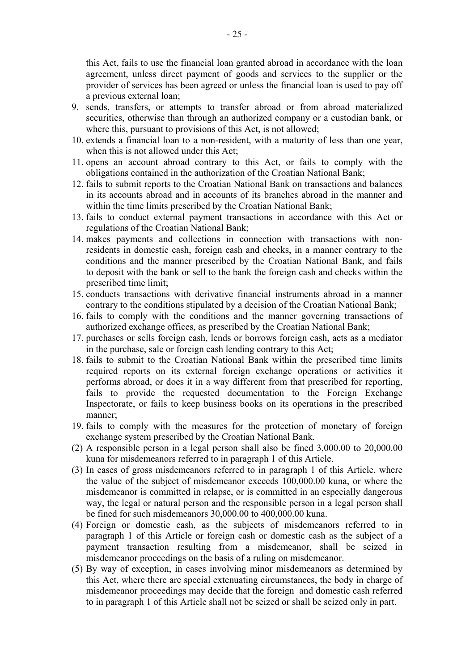this Act, fails to use the financial loan granted abroad in accordance with the loan agreement, unless direct payment of goods and services to the supplier or the provider of services has been agreed or unless the financial loan is used to pay off a previous external loan;

- 9. sends, transfers, or attempts to transfer abroad or from abroad materialized securities, otherwise than through an authorized company or a custodian bank, or where this, pursuant to provisions of this Act, is not allowed;
- 10. extends a financial loan to a non-resident, with a maturity of less than one year, when this is not allowed under this Act;
- 11. opens an account abroad contrary to this Act, or fails to comply with the obligations contained in the authorization of the Croatian National Bank;
- 12. fails to submit reports to the Croatian National Bank on transactions and balances in its accounts abroad and in accounts of its branches abroad in the manner and within the time limits prescribed by the Croatian National Bank;
- 13. fails to conduct external payment transactions in accordance with this Act or regulations of the Croatian National Bank;
- 14. makes payments and collections in connection with transactions with nonresidents in domestic cash, foreign cash and checks, in a manner contrary to the conditions and the manner prescribed by the Croatian National Bank, and fails to deposit with the bank or sell to the bank the foreign cash and checks within the prescribed time limit;
- 15. conducts transactions with derivative financial instruments abroad in a manner contrary to the conditions stipulated by a decision of the Croatian National Bank;
- 16. fails to comply with the conditions and the manner governing transactions of authorized exchange offices, as prescribed by the Croatian National Bank;
- 17. purchases or sells foreign cash, lends or borrows foreign cash, acts as a mediator in the purchase, sale or foreign cash lending contrary to this Act;
- 18. fails to submit to the Croatian National Bank within the prescribed time limits required reports on its external foreign exchange operations or activities it performs abroad, or does it in a way different from that prescribed for reporting, fails to provide the requested documentation to the Foreign Exchange Inspectorate, or fails to keep business books on its operations in the prescribed manner;
- 19. fails to comply with the measures for the protection of monetary of foreign exchange system prescribed by the Croatian National Bank.
- (2) A responsible person in a legal person shall also be fined 3,000.00 to 20,000.00 kuna for misdemeanors referred to in paragraph 1 of this Article.
- (3) In cases of gross misdemeanors referred to in paragraph 1 of this Article, where the value of the subject of misdemeanor exceeds 100,000.00 kuna, or where the misdemeanor is committed in relapse, or is committed in an especially dangerous way, the legal or natural person and the responsible person in a legal person shall be fined for such misdemeanors 30,000.00 to 400,000.00 kuna.
- (4) Foreign or domestic cash, as the subjects of misdemeanors referred to in paragraph 1 of this Article or foreign cash or domestic cash as the subject of a payment transaction resulting from a misdemeanor, shall be seized in misdemeanor proceedings on the basis of a ruling on misdemeanor.
- (5) By way of exception, in cases involving minor misdemeanors as determined by this Act, where there are special extenuating circumstances, the body in charge of misdemeanor proceedings may decide that the foreign and domestic cash referred to in paragraph 1 of this Article shall not be seized or shall be seized only in part.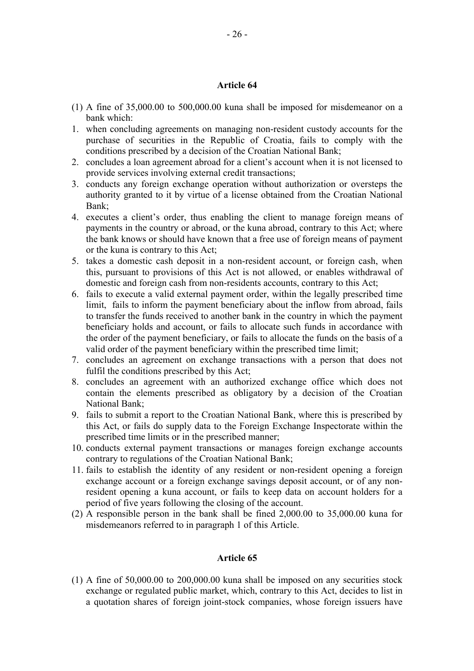## **Article 64**

- (1) A fine of 35,000.00 to 500,000.00 kuna shall be imposed for misdemeanor on a bank which:
- 1. when concluding agreements on managing non-resident custody accounts for the purchase of securities in the Republic of Croatia, fails to comply with the conditions prescribed by a decision of the Croatian National Bank;
- 2. concludes a loan agreement abroad for a client's account when it is not licensed to provide services involving external credit transactions;
- 3. conducts any foreign exchange operation without authorization or oversteps the authority granted to it by virtue of a license obtained from the Croatian National Bank;
- 4. executes a client's order, thus enabling the client to manage foreign means of payments in the country or abroad, or the kuna abroad, contrary to this Act; where the bank knows or should have known that a free use of foreign means of payment or the kuna is contrary to this Act;
- 5. takes a domestic cash deposit in a non-resident account, or foreign cash, when this, pursuant to provisions of this Act is not allowed, or enables withdrawal of domestic and foreign cash from non-residents accounts, contrary to this Act;
- 6. fails to execute a valid external payment order, within the legally prescribed time limit, fails to inform the payment beneficiary about the inflow from abroad, fails to transfer the funds received to another bank in the country in which the payment beneficiary holds and account, or fails to allocate such funds in accordance with the order of the payment beneficiary, or fails to allocate the funds on the basis of a valid order of the payment beneficiary within the prescribed time limit;
- 7. concludes an agreement on exchange transactions with a person that does not fulfil the conditions prescribed by this Act;
- 8. concludes an agreement with an authorized exchange office which does not contain the elements prescribed as obligatory by a decision of the Croatian National Bank;
- 9. fails to submit a report to the Croatian National Bank, where this is prescribed by this Act, or fails do supply data to the Foreign Exchange Inspectorate within the prescribed time limits or in the prescribed manner;
- 10. conducts external payment transactions or manages foreign exchange accounts contrary to regulations of the Croatian National Bank;
- 11. fails to establish the identity of any resident or non-resident opening a foreign exchange account or a foreign exchange savings deposit account, or of any nonresident opening a kuna account, or fails to keep data on account holders for a period of five years following the closing of the account.
- (2) A responsible person in the bank shall be fined 2,000.00 to 35,000.00 kuna for misdemeanors referred to in paragraph 1 of this Article.

## **Article 65**

(1) A fine of 50,000.00 to 200,000.00 kuna shall be imposed on any securities stock exchange or regulated public market, which, contrary to this Act, decides to list in a quotation shares of foreign joint-stock companies, whose foreign issuers have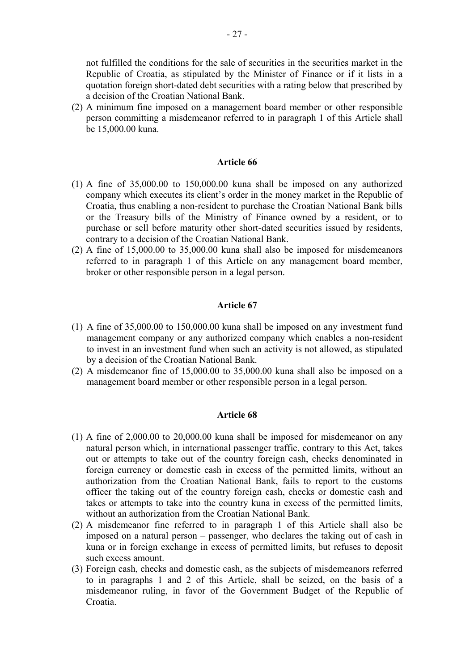not fulfilled the conditions for the sale of securities in the securities market in the Republic of Croatia, as stipulated by the Minister of Finance or if it lists in a quotation foreign short-dated debt securities with a rating below that prescribed by a decision of the Croatian National Bank.

(2) A minimum fine imposed on a management board member or other responsible person committing a misdemeanor referred to in paragraph 1 of this Article shall be 15,000.00 kuna.

## **Article 66**

- (1) A fine of 35,000.00 to 150,000.00 kuna shall be imposed on any authorized company which executes its client's order in the money market in the Republic of Croatia, thus enabling a non-resident to purchase the Croatian National Bank bills or the Treasury bills of the Ministry of Finance owned by a resident, or to purchase or sell before maturity other short-dated securities issued by residents, contrary to a decision of the Croatian National Bank.
- (2) A fine of 15,000.00 to 35,000.00 kuna shall also be imposed for misdemeanors referred to in paragraph 1 of this Article on any management board member, broker or other responsible person in a legal person.

## **Article 67**

- (1) A fine of 35,000.00 to 150,000.00 kuna shall be imposed on any investment fund management company or any authorized company which enables a non-resident to invest in an investment fund when such an activity is not allowed, as stipulated by a decision of the Croatian National Bank.
- (2) A misdemeanor fine of 15,000.00 to 35,000.00 kuna shall also be imposed on a management board member or other responsible person in a legal person.

- (1) A fine of 2,000.00 to 20,000.00 kuna shall be imposed for misdemeanor on any natural person which, in international passenger traffic, contrary to this Act, takes out or attempts to take out of the country foreign cash, checks denominated in foreign currency or domestic cash in excess of the permitted limits, without an authorization from the Croatian National Bank, fails to report to the customs officer the taking out of the country foreign cash, checks or domestic cash and takes or attempts to take into the country kuna in excess of the permitted limits, without an authorization from the Croatian National Bank.
- (2) A misdemeanor fine referred to in paragraph 1 of this Article shall also be imposed on a natural person – passenger, who declares the taking out of cash in kuna or in foreign exchange in excess of permitted limits, but refuses to deposit such excess amount.
- (3) Foreign cash, checks and domestic cash, as the subjects of misdemeanors referred to in paragraphs 1 and 2 of this Article, shall be seized, on the basis of a misdemeanor ruling, in favor of the Government Budget of the Republic of Croatia.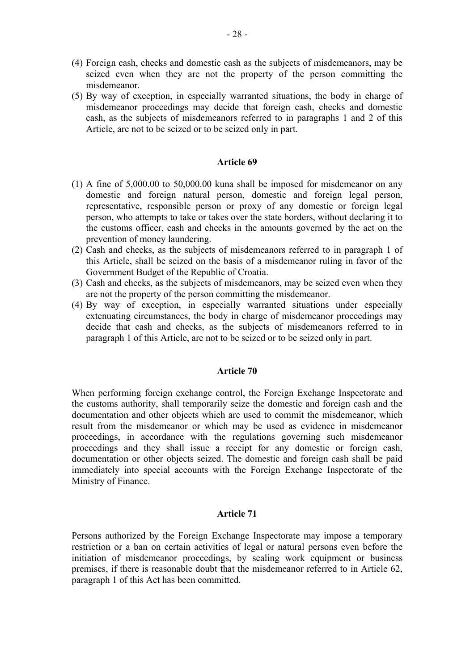- (4) Foreign cash, checks and domestic cash as the subjects of misdemeanors, may be seized even when they are not the property of the person committing the misdemeanor.
- (5) By way of exception, in especially warranted situations, the body in charge of misdemeanor proceedings may decide that foreign cash, checks and domestic cash, as the subjects of misdemeanors referred to in paragraphs 1 and 2 of this Article, are not to be seized or to be seized only in part.

## **Article 69**

- (1) A fine of 5,000.00 to 50,000.00 kuna shall be imposed for misdemeanor on any domestic and foreign natural person, domestic and foreign legal person, representative, responsible person or proxy of any domestic or foreign legal person, who attempts to take or takes over the state borders, without declaring it to the customs officer, cash and checks in the amounts governed by the act on the prevention of money laundering.
- (2) Cash and checks, as the subjects of misdemeanors referred to in paragraph 1 of this Article, shall be seized on the basis of a misdemeanor ruling in favor of the Government Budget of the Republic of Croatia.
- (3) Cash and checks, as the subjects of misdemeanors, may be seized even when they are not the property of the person committing the misdemeanor.
- (4) By way of exception, in especially warranted situations under especially extenuating circumstances, the body in charge of misdemeanor proceedings may decide that cash and checks, as the subjects of misdemeanors referred to in paragraph 1 of this Article, are not to be seized or to be seized only in part.

## **Article 70**

When performing foreign exchange control, the Foreign Exchange Inspectorate and the customs authority, shall temporarily seize the domestic and foreign cash and the documentation and other objects which are used to commit the misdemeanor, which result from the misdemeanor or which may be used as evidence in misdemeanor proceedings, in accordance with the regulations governing such misdemeanor proceedings and they shall issue a receipt for any domestic or foreign cash, documentation or other objects seized. The domestic and foreign cash shall be paid immediately into special accounts with the Foreign Exchange Inspectorate of the Ministry of Finance.

#### **Article 71**

Persons authorized by the Foreign Exchange Inspectorate may impose a temporary restriction or a ban on certain activities of legal or natural persons even before the initiation of misdemeanor proceedings, by sealing work equipment or business premises, if there is reasonable doubt that the misdemeanor referred to in Article 62, paragraph 1 of this Act has been committed.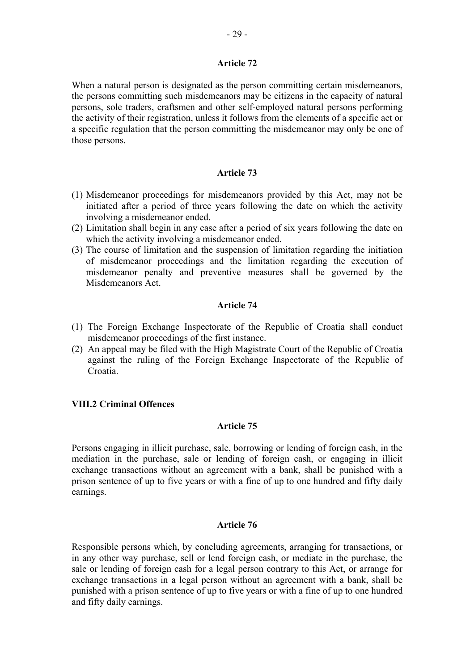## **Article 72**

When a natural person is designated as the person committing certain misdemeanors, the persons committing such misdemeanors may be citizens in the capacity of natural persons, sole traders, craftsmen and other self-employed natural persons performing the activity of their registration, unless it follows from the elements of a specific act or a specific regulation that the person committing the misdemeanor may only be one of those persons.

## **Article 73**

- (1) Misdemeanor proceedings for misdemeanors provided by this Act, may not be initiated after a period of three years following the date on which the activity involving a misdemeanor ended.
- (2) Limitation shall begin in any case after a period of six years following the date on which the activity involving a misdemeanor ended.
- (3) The course of limitation and the suspension of limitation regarding the initiation of misdemeanor proceedings and the limitation regarding the execution of misdemeanor penalty and preventive measures shall be governed by the Misdemeanors Act.

## **Article 74**

- (1) The Foreign Exchange Inspectorate of the Republic of Croatia shall conduct misdemeanor proceedings of the first instance.
- (2) An appeal may be filed with the High Magistrate Court of the Republic of Croatia against the ruling of the Foreign Exchange Inspectorate of the Republic of Croatia.

## **VIII.2 Criminal Offences**

## **Article 75**

Persons engaging in illicit purchase, sale, borrowing or lending of foreign cash, in the mediation in the purchase, sale or lending of foreign cash, or engaging in illicit exchange transactions without an agreement with a bank, shall be punished with a prison sentence of up to five years or with a fine of up to one hundred and fifty daily earnings.

#### **Article 76**

Responsible persons which, by concluding agreements, arranging for transactions, or in any other way purchase, sell or lend foreign cash, or mediate in the purchase, the sale or lending of foreign cash for a legal person contrary to this Act, or arrange for exchange transactions in a legal person without an agreement with a bank, shall be punished with a prison sentence of up to five years or with a fine of up to one hundred and fifty daily earnings.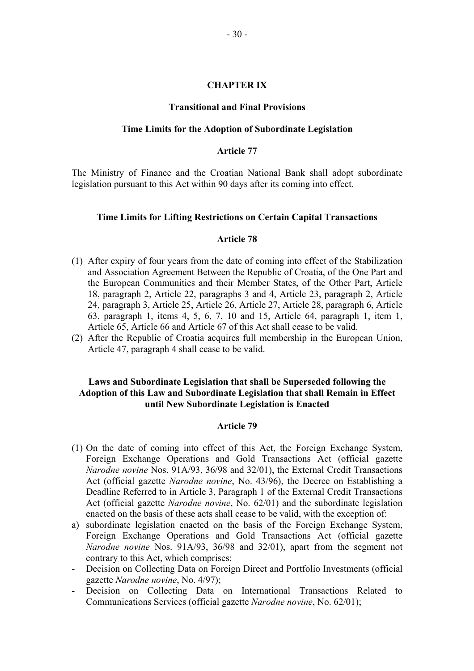#### **CHAPTER IX**

#### **Transitional and Final Provisions**

#### **Time Limits for the Adoption of Subordinate Legislation**

#### **Article 77**

The Ministry of Finance and the Croatian National Bank shall adopt subordinate legislation pursuant to this Act within 90 days after its coming into effect.

#### **Time Limits for Lifting Restrictions on Certain Capital Transactions**

#### **Article 78**

- (1) After expiry of four years from the date of coming into effect of the Stabilization and Association Agreement Between the Republic of Croatia, of the One Part and the European Communities and their Member States, of the Other Part, Article 18, paragraph 2, Article 22, paragraphs 3 and 4, Article 23, paragraph 2, Article 24, paragraph 3, Article 25, Article 26, Article 27, Article 28, paragraph 6, Article 63, paragraph 1, items 4, 5, 6, 7, 10 and 15, Article 64, paragraph 1, item 1, Article 65, Article 66 and Article 67 of this Act shall cease to be valid.
- (2) After the Republic of Croatia acquires full membership in the European Union, Article 47, paragraph 4 shall cease to be valid.

## **Laws and Subordinate Legislation that shall be Superseded following the Adoption of this Law and Subordinate Legislation that shall Remain in Effect until New Subordinate Legislation is Enacted**

- (1) On the date of coming into effect of this Act, the Foreign Exchange System, Foreign Exchange Operations and Gold Transactions Act (official gazette *Narodne novine* Nos. 91A/93, 36/98 and 32/01), the External Credit Transactions Act (official gazette *Narodne novine*, No. 43/96), the Decree on Establishing a Deadline Referred to in Article 3, Paragraph 1 of the External Credit Transactions Act (official gazette *Narodne novine*, No. 62/01) and the subordinate legislation enacted on the basis of these acts shall cease to be valid, with the exception of:
- a) subordinate legislation enacted on the basis of the Foreign Exchange System, Foreign Exchange Operations and Gold Transactions Act (official gazette *Narodne novine* Nos. 91A/93, 36/98 and 32/01), apart from the segment not contrary to this Act, which comprises:
- Decision on Collecting Data on Foreign Direct and Portfolio Investments (official gazette *Narodne novine*, No. 4/97);
- Decision on Collecting Data on International Transactions Related to Communications Services (official gazette *Narodne novine*, No. 62/01);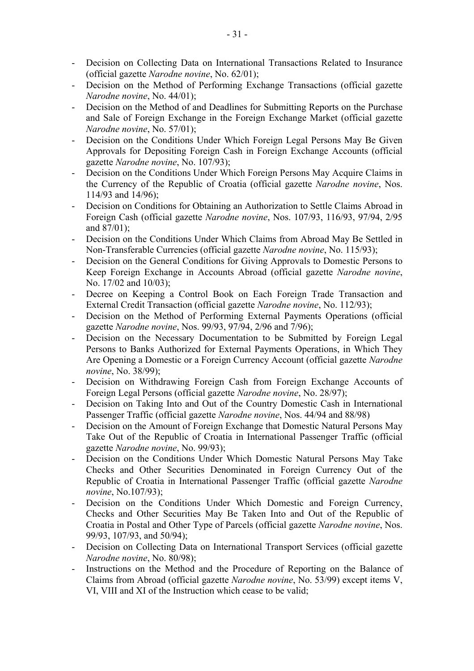- Decision on Collecting Data on International Transactions Related to Insurance (official gazette *Narodne novine*, No. 62/01);
- Decision on the Method of Performing Exchange Transactions (official gazette *Narodne novine*, No. 44/01);
- Decision on the Method of and Deadlines for Submitting Reports on the Purchase and Sale of Foreign Exchange in the Foreign Exchange Market (official gazette *Narodne novine*, No. 57/01);
- Decision on the Conditions Under Which Foreign Legal Persons May Be Given Approvals for Depositing Foreign Cash in Foreign Exchange Accounts (official gazette *Narodne novine*, No. 107/93);
- Decision on the Conditions Under Which Foreign Persons May Acquire Claims in the Currency of the Republic of Croatia (official gazette *Narodne novine*, Nos. 114/93 and 14/96);
- Decision on Conditions for Obtaining an Authorization to Settle Claims Abroad in Foreign Cash (official gazette *Narodne novine*, Nos. 107/93, 116/93, 97/94, 2/95 and  $87/01$ :
- Decision on the Conditions Under Which Claims from Abroad May Be Settled in Non-Transferable Currencies (official gazette *Narodne novine*, No. 115/93);
- Decision on the General Conditions for Giving Approvals to Domestic Persons to Keep Foreign Exchange in Accounts Abroad (official gazette *Narodne novine*, No. 17/02 and 10/03);
- Decree on Keeping a Control Book on Each Foreign Trade Transaction and External Credit Transaction (official gazette *Narodne novine*, No. 112/93);
- Decision on the Method of Performing External Payments Operations (official gazette *Narodne novine*, Nos. 99/93, 97/94, 2/96 and 7/96);
- Decision on the Necessary Documentation to be Submitted by Foreign Legal Persons to Banks Authorized for External Payments Operations, in Which They Are Opening a Domestic or a Foreign Currency Account (official gazette *Narodne novine*, No. 38/99);
- Decision on Withdrawing Foreign Cash from Foreign Exchange Accounts of Foreign Legal Persons (official gazette *Narodne novine*, No. 28/97);
- Decision on Taking Into and Out of the Country Domestic Cash in International Passenger Traffic (official gazette *Narodne novine*, Nos. 44/94 and 88/98)
- Decision on the Amount of Foreign Exchange that Domestic Natural Persons May Take Out of the Republic of Croatia in International Passenger Traffic (official gazette *Narodne novine*, No. 99/93);
- Decision on the Conditions Under Which Domestic Natural Persons May Take Checks and Other Securities Denominated in Foreign Currency Out of the Republic of Croatia in International Passenger Traffic (official gazette *Narodne novine*, No.107/93);
- Decision on the Conditions Under Which Domestic and Foreign Currency, Checks and Other Securities May Be Taken Into and Out of the Republic of Croatia in Postal and Other Type of Parcels (official gazette *Narodne novine*, Nos. 99/93, 107/93, and 50/94);
- Decision on Collecting Data on International Transport Services (official gazette *Narodne novine*, No. 80/98);
- Instructions on the Method and the Procedure of Reporting on the Balance of Claims from Abroad (official gazette *Narodne novine*, No. 53/99) except items V, VI, VIII and XI of the Instruction which cease to be valid;